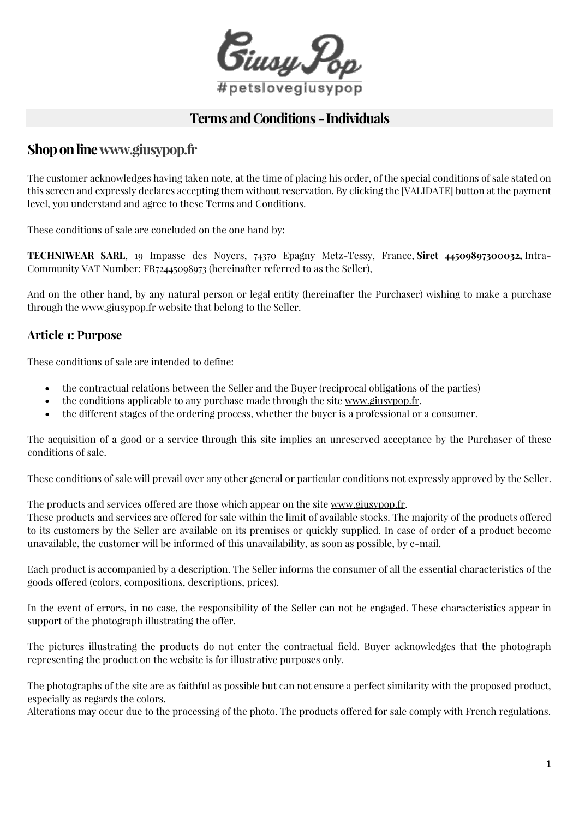

# **Terms and Conditions -Individuals**

# **Shoponlin[ewww.giusypop.fr](https://www.giusypop.fr/)**

The customer acknowledges having taken note, at the time of placing his order, of the special conditions of sale stated on this screen and expressly declares accepting them without reservation. By clicking the [VALIDATE] button at the payment level, you understand and agree to these Terms and Conditions.

These conditions of sale are concluded on the one hand by:

**TECHNIWEAR SARL**, 19 Impasse des Noyers, 74370 Epagny Metz-Tessy, France, **Siret 44509897300032,** Intra-Community VAT Number: FR72445098973 (hereinafter referred to as the Seller),

And on the other hand, by any natural person or legal entity (hereinafter the Purchaser) wishing to make a purchase through the [www.giusypop.fr](http://www.giusypop.fr/) website that belong to the Seller.

# **Article 1: Purpose**

These conditions of sale are intended to define:

- the contractual relations between the Seller and the Buyer (reciprocal obligations of the parties)
- the conditions applicable to any purchase made through the site [www.giusypop.fr.](http://www.giusypop.fr/)
- the different stages of the ordering process, whether the buyer is a professional or a consumer.

The acquisition of a good or a service through this site implies an unreserved acceptance by the Purchaser of these conditions of sale.

These conditions of sale will prevail over any other general or particular conditions not expressly approved by the Seller.

The products and services offered are those which appear on the site [www.giusypop.fr.](http://www.giusypop.fr/)

These products and services are offered for sale within the limit of available stocks. The majority of the products offered to its customers by the Seller are available on its premises or quickly supplied. In case of order of a product become unavailable, the customer will be informed of this unavailability, as soon as possible, by e-mail.

Each product is accompanied by a description. The Seller informs the consumer of all the essential characteristics of the goods offered (colors, compositions, descriptions, prices).

In the event of errors, in no case, the responsibility of the Seller can not be engaged. These characteristics appear in support of the photograph illustrating the offer.

The pictures illustrating the products do not enter the contractual field. Buyer acknowledges that the photograph representing the product on the website is for illustrative purposes only.

The photographs of the site are as faithful as possible but can not ensure a perfect similarity with the proposed product, especially as regards the colors.

Alterations may occur due to the processing of the photo. The products offered for sale comply with French regulations.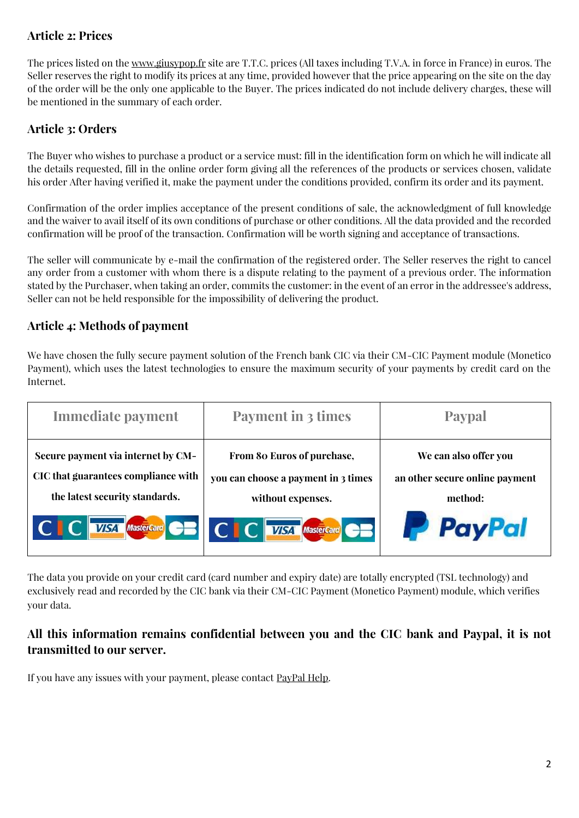# **Article 2: Prices**

The prices listed on the [www.giusypop.fr](http://www.giusypop.fr/) site are T.T.C. prices (All taxes including T.V.A. in force in France) in euros. The Seller reserves the right to modify its prices at any time, provided however that the price appearing on the site on the day of the order will be the only one applicable to the Buyer. The prices indicated do not include delivery charges, these will be mentioned in the summary of each order.

# **Article 3: Orders**

The Buyer who wishes to purchase a product or a service must: fill in the identification form on which he will indicate all the details requested, fill in the online order form giving all the references of the products or services chosen, validate his order After having verified it, make the payment under the conditions provided, confirm its order and its payment.

Confirmation of the order implies acceptance of the present conditions of sale, the acknowledgment of full knowledge and the waiver to avail itself of its own conditions of purchase or other conditions. All the data provided and the recorded confirmation will be proof of the transaction. Confirmation will be worth signing and acceptance of transactions.

The seller will communicate by e-mail the confirmation of the registered order. The Seller reserves the right to cancel any order from a customer with whom there is a dispute relating to the payment of a previous order. The information stated by the Purchaser, when taking an order, commits the customer: in the event of an error in the addressee's address, Seller can not be held responsible for the impossibility of delivering the product.

# **Article 4: Methods of payment**

We have chosen the fully secure payment solution of the French bank CIC via their CM-CIC Payment module (Monetico Payment), which uses the latest technologies to ensure the maximum security of your payments by credit card on the Internet.



The data you provide on your credit card (card number and expiry date) are totally encrypted (TSL technology) and exclusively read and recorded by the CIC bank via their CM-CIC Payment (Monetico Payment) module, which verifies your data.

# **All this information remains confidential between you and the CIC bank and Paypal, it is not transmitted to our server.**

If you have any issues with your payment, please contact [PayPal Help.](https://www.paypal.com/us/smarthelp/home)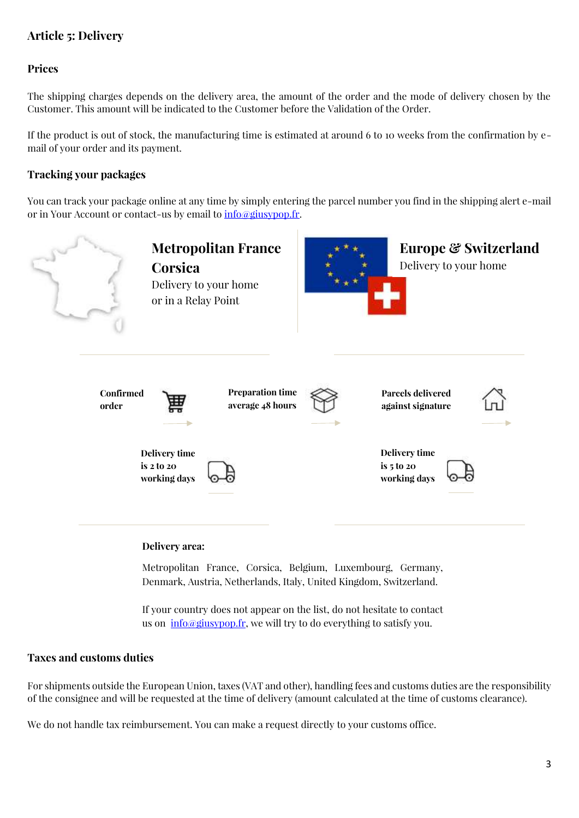# **Article 5: Delivery**

#### **Prices**

The shipping charges depends on the delivery area, the amount of the order and the mode of delivery chosen by the Customer. This amount will be indicated to the Customer before the Validation of the Order.

If the product is out of stock, the manufacturing time is estimated at around 6 to 10 weeks from the confirmation by email of your order and its payment.

#### **Tracking your packages**

You can track your package online at any time by simply entering the parcel number you find in the shipping alert e-mail or in Your Account or contact-us by email to **[info@giusypop.fr.](mailto:info@giusypop.fr)** 



Metropolitan France, Corsica, Belgium, Luxembourg, Germany, Denmark, Austria, Netherlands, Italy, United Kingdom, Switzerland.

If your country does not appear on the list, do not hesitate to contact us on  $\frac{info}{\omega}$ giusypop.fr, we will try to do everything to satisfy you.

#### **Taxes and customs duties**

For shipments outside the European Union, taxes (VAT and other), handling fees and customs duties are the responsibility of the consignee and will be requested at the time of delivery (amount calculated at the time of customs clearance).

We do not handle tax reimbursement. You can make a request directly to your customs office.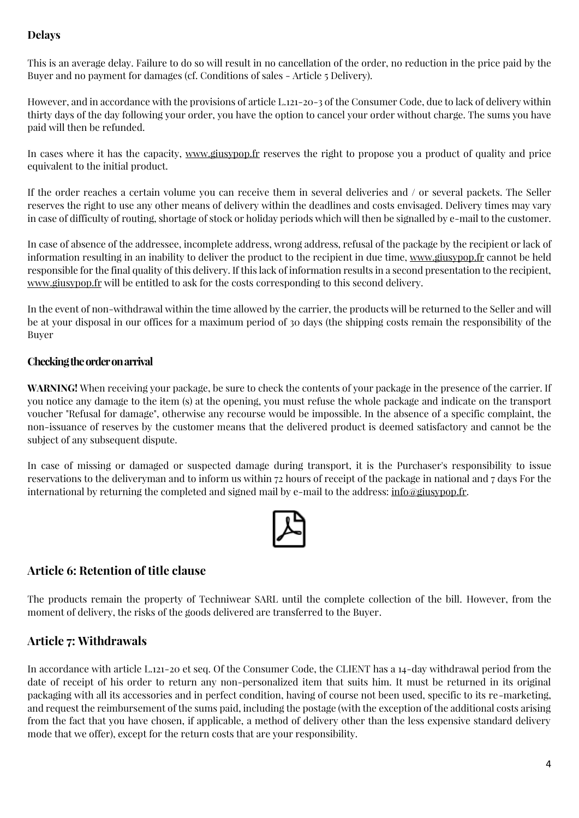### **Delays**

This is an average delay. Failure to do so will result in no cancellation of the order, no reduction in the price paid by the Buyer and no payment for damages (cf. Conditions of sales - Article 5 Delivery).

However, and in accordance with the provisions of article L.121-20-3 of the Consumer Code, due to lack of delivery within thirty days of the day following your order, you have the option to cancel your order without charge. The sums you have paid will then be refunded.

In cases where it has the capacity, [www.giusypop.fr](http://www.giusypop.fr/) reserves the right to propose you a product of quality and price equivalent to the initial product.

If the order reaches a certain volume you can receive them in several deliveries and / or several packets. The Seller reserves the right to use any other means of delivery within the deadlines and costs envisaged. Delivery times may vary in case of difficulty of routing, shortage of stock or holiday periods which will then be signalled by e-mail to the customer.

In case of absence of the addressee, incomplete address, wrong address, refusal of the package by the recipient or lack of information resulting in an inability to deliver the product to the recipient in due time, [www.giusypop.fr](https://www.giusypop.fr/) cannot be held responsible for the final quality of this delivery. If this lack of information results in a second presentation to the recipient, [www.giusypop.fr](https://www.giusypop.fr/) will be entitled to ask for the costs corresponding to this second delivery.

In the event of non-withdrawal within the time allowed by the carrier, the products will be returned to the Seller and will be at your disposal in our offices for a maximum period of 30 days (the shipping costs remain the responsibility of the Buyer

#### **Checking the order on arrival**

**WARNING!** When receiving your package, be sure to check the contents of your package in the presence of the carrier. If you notice any damage to the item (s) at the opening, you must refuse the whole package and indicate on the transport voucher "Refusal for damage", otherwise any recourse would be impossible. In the absence of a specific complaint, the non-issuance of reserves by the customer means that the delivered product is deemed satisfactory and cannot be the subject of any subsequent dispute.

In case of missing or damaged or suspected damage during transport, it is the Purchaser's responsibility to issue reservations to the deliveryman and to inform us within 72 hours of receipt of the package in national and 7 days For the international by returning the completed and signed mail by e-mail to the address: [info@giusypop.fr.](mailto:info@giusypop.fr)



### **Article 6: Retention of title clause**

The products remain the property of Techniwear SARL until the complete collection of the bill. However, from the moment of delivery, the risks of the goods delivered are transferred to the Buyer.

# **Article 7: Withdrawals**

In accordance with article L.121-20 et seq. Of the Consumer Code, the CLIENT has a 14-day withdrawal period from the date of receipt of his order to return any non-personalized item that suits him. It must be returned in its original packaging with all its accessories and in perfect condition, having of course not been used, specific to its re-marketing, and request the reimbursement of the sums paid, including the postage (with the exception of the additional costs arising from the fact that you have chosen, if applicable, a method of delivery other than the less expensive standard delivery mode that we offer), except for the return costs that are your responsibility.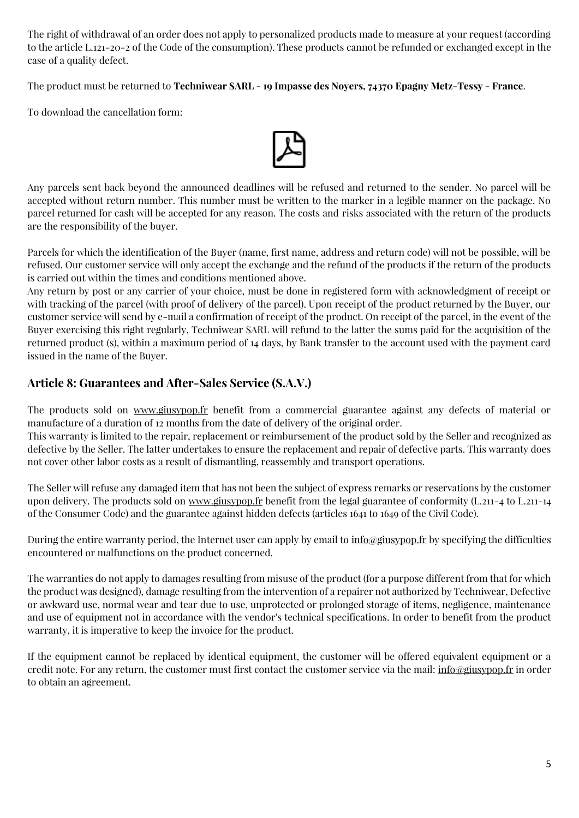The right of withdrawal of an order does not apply to personalized products made to measure at your request (according to the article L.121-20-2 of the Code of the consumption). These products cannot be refunded or exchanged except in the case of a quality defect.

The product must be returned to **Techniwear SARL - 19 Impasse des Noyers, 74370 Epagny Metz-Tessy - France**.

To download the cancellation form:



Any parcels sent back beyond the announced deadlines will be refused and returned to the sender. No parcel will be accepted without return number. This number must be written to the marker in a legible manner on the package. No parcel returned for cash will be accepted for any reason. The costs and risks associated with the return of the products are the responsibility of the buyer.

Parcels for which the identification of the Buyer (name, first name, address and return code) will not be possible, will be refused. Our customer service will only accept the exchange and the refund of the products if the return of the products is carried out within the times and conditions mentioned above.

Any return by post or any carrier of your choice, must be done in registered form with acknowledgment of receipt or with tracking of the parcel (with proof of delivery of the parcel). Upon receipt of the product returned by the Buyer, our customer service will send by e-mail a confirmation of receipt of the product. On receipt of the parcel, in the event of the Buyer exercising this right regularly, Techniwear SARL will refund to the latter the sums paid for the acquisition of the returned product (s), within a maximum period of 14 days, by Bank transfer to the account used with the payment card issued in the name of the Buyer.

# **Article 8: Guarantees and After-Sales Service (S.A.V.)**

The products sold on [www.giusypop.fr](https://www.giusypop.fr/) benefit from a commercial guarantee against any defects of material or manufacture of a duration of 12 months from the date of delivery of the original order.

This warranty is limited to the repair, replacement or reimbursement of the product sold by the Seller and recognized as defective by the Seller. The latter undertakes to ensure the replacement and repair of defective parts. This warranty does not cover other labor costs as a result of dismantling, reassembly and transport operations.

The Seller will refuse any damaged item that has not been the subject of express remarks or reservations by the customer upon delivery. The products sold on [www.giusypop.fr](https://www.giusypop.fr/) benefit from the legal guarantee of conformity (L.211-4 to L.211-14 of the Consumer Code) and the guarantee against hidden defects (articles 1641 to 1649 of the Civil Code).

During the entire warranty period, the Internet user can apply by email to  $\inf_{\alpha}$  info  $\phi$  is specifying the difficulties encountered or malfunctions on the product concerned.

The warranties do not apply to damages resulting from misuse of the product (for a purpose different from that for which the product was designed), damage resulting from the intervention of a repairer not authorized by Techniwear, Defective or awkward use, normal wear and tear due to use, unprotected or prolonged storage of items, negligence, maintenance and use of equipment not in accordance with the vendor's technical specifications. In order to benefit from the product warranty, it is imperative to keep the invoice for the product.

If the equipment cannot be replaced by identical equipment, the customer will be offered equivalent equipment or a credit note. For any return, the customer must first contact the customer service via the mail: [info@giusypop.fr](mailto:info@giusypop.fr) in order to obtain an agreement.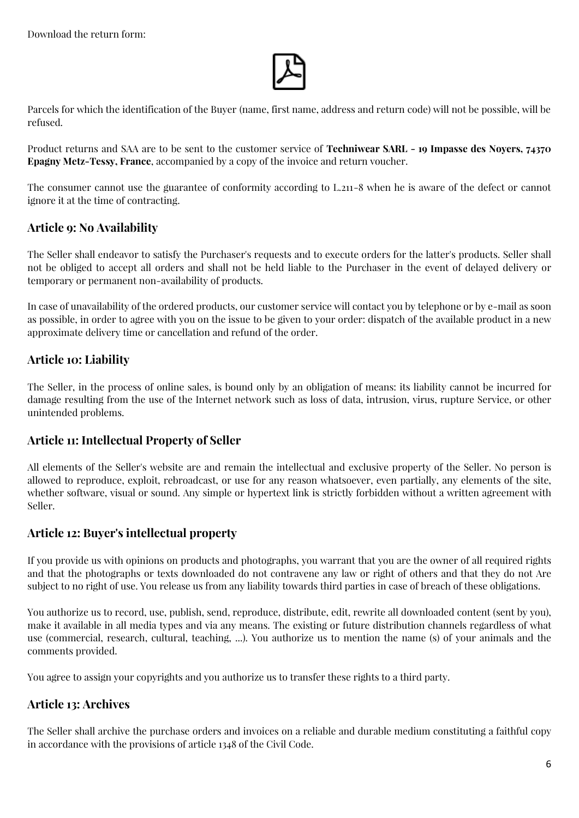

Parcels for which the identification of the Buyer (name, first name, address and return code) will not be possible, will be refused.

Product returns and SAA are to be sent to the customer service of **Techniwear SARL - 19 Impasse des Noyers, 74370 Epagny Metz-Tessy, France**, accompanied by a copy of the invoice and return voucher.

The consumer cannot use the guarantee of conformity according to L.211-8 when he is aware of the defect or cannot ignore it at the time of contracting.

### **Article 9: No Availability**

The Seller shall endeavor to satisfy the Purchaser's requests and to execute orders for the latter's products. Seller shall not be obliged to accept all orders and shall not be held liable to the Purchaser in the event of delayed delivery or temporary or permanent non-availability of products.

In case of unavailability of the ordered products, our customer service will contact you by telephone or by e-mail as soon as possible, in order to agree with you on the issue to be given to your order: dispatch of the available product in a new approximate delivery time or cancellation and refund of the order.

### **Article 10: Liability**

The Seller, in the process of online sales, is bound only by an obligation of means: its liability cannot be incurred for damage resulting from the use of the Internet network such as loss of data, intrusion, virus, rupture Service, or other unintended problems.

#### **Article 11: Intellectual Property of Seller**

All elements of the Seller's website are and remain the intellectual and exclusive property of the Seller. No person is allowed to reproduce, exploit, rebroadcast, or use for any reason whatsoever, even partially, any elements of the site, whether software, visual or sound. Any simple or hypertext link is strictly forbidden without a written agreement with Seller.

#### **Article 12: Buyer's intellectual property**

If you provide us with opinions on products and photographs, you warrant that you are the owner of all required rights and that the photographs or texts downloaded do not contravene any law or right of others and that they do not Are subject to no right of use. You release us from any liability towards third parties in case of breach of these obligations.

You authorize us to record, use, publish, send, reproduce, distribute, edit, rewrite all downloaded content (sent by you), make it available in all media types and via any means. The existing or future distribution channels regardless of what use (commercial, research, cultural, teaching, ...). You authorize us to mention the name (s) of your animals and the comments provided.

You agree to assign your copyrights and you authorize us to transfer these rights to a third party.

### **Article 13: Archives**

The Seller shall archive the purchase orders and invoices on a reliable and durable medium constituting a faithful copy in accordance with the provisions of article 1348 of the Civil Code.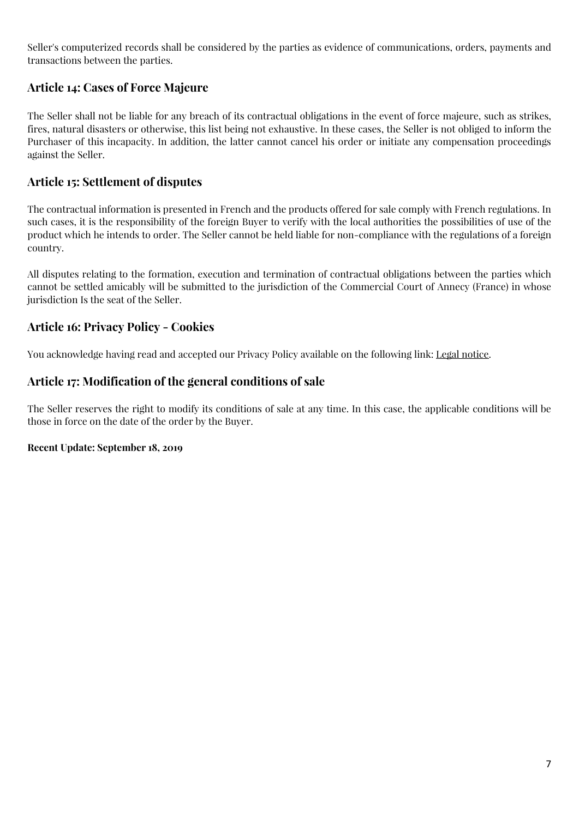Seller's computerized records shall be considered by the parties as evidence of communications, orders, payments and transactions between the parties.

### **Article 14: Cases of Force Majeure**

The Seller shall not be liable for any breach of its contractual obligations in the event of force majeure, such as strikes, fires, natural disasters or otherwise, this list being not exhaustive. In these cases, the Seller is not obliged to inform the Purchaser of this incapacity. In addition, the latter cannot cancel his order or initiate any compensation proceedings against the Seller.

### **Article 15: Settlement of disputes**

The contractual information is presented in French and the products offered for sale comply with French regulations. In such cases, it is the responsibility of the foreign Buyer to verify with the local authorities the possibilities of use of the product which he intends to order. The Seller cannot be held liable for non-compliance with the regulations of a foreign country.

All disputes relating to the formation, execution and termination of contractual obligations between the parties which cannot be settled amicably will be submitted to the jurisdiction of the Commercial Court of Annecy (France) in whose jurisdiction Is the seat of the Seller.

# **Article 16: Privacy Policy - Cookies**

You acknowledge having read and accepted our Privacy Policy available on the following link: Legal [notice.](https://www.giusypop.fr/en/content/2-legal-notice)

# **Article 17: Modification of the general conditions of sale**

The Seller reserves the right to modify its conditions of sale at any time. In this case, the applicable conditions will be those in force on the date of the order by the Buyer.

#### **Recent Update: September 18, 2019**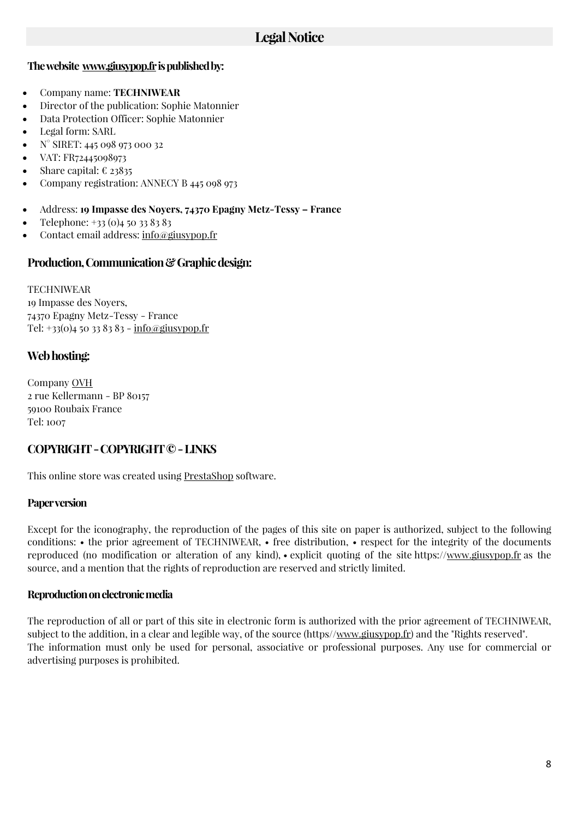#### **Thewebsite [www.giusypop.fri](www.giusypop.fr)spublishedby:**

- Company name: **TECHNIWEAR**
- Director of the publication: Sophie Matonnier
- Data Protection Officer: Sophie Matonnier
- Legal form: SARL
- N° SIRET: 445 098 973 000 32
- VAT: FR72445098973
- Share capital:  $\epsilon$  23835
- Company registration: ANNECY B 445 098 973
- Address: **19 Impasse des Noyers, 74370 Epagny Metz-Tessy – France**
- Telephone: +33 (0)4 50 33 83 83
- Contact email address: [info@giusypop.fr](mailto:info@giusypop.fr)

#### **Production,Communication&Graphicdesign:**

**TECHNIWEAR** 19 Impasse des Noyers, 74370 Epagny Metz-Tessy - France Tel: +33(0)4 50 33 83 83 - [info@giusypop.fr](mailto:info@giusypop.fr)

### **Web hosting:**

Company [OVH](https://www.ovh.co.uk/) 2 rue Kellermann - BP 80157 59100 Roubaix France Tel: 1007

### **COPYRIGHT-COPYRIGHT©-LINKS**

This online store was created using [PrestaShop](https://www.prestashop.com/en) software.

#### **Paperversion**

Except for the iconography, the reproduction of the pages of this site on paper is authorized, subject to the following conditions: • the prior agreement of TECHNIWEAR, • free distribution, • respect for the integrity of the documents reproduced (no modification or alteration of any kind), • explicit quoting of the site https:/[/www.giusypop.fr](https://www.giusypop.fr/en/) as the source, and a mention that the rights of reproduction are reserved and strictly limited.

#### **Reproduction on electronic media**

The reproduction of all or part of this site in electronic form is authorized with the prior agreement of TECHNIWEAR, subject to the addition, in a clear and legible way, of the source (https/[/www.giusypop.fr\)](https://www.giusypop.fr/en/) and the "Rights reserved". The information must only be used for personal, associative or professional purposes. Any use for commercial or advertising purposes is prohibited.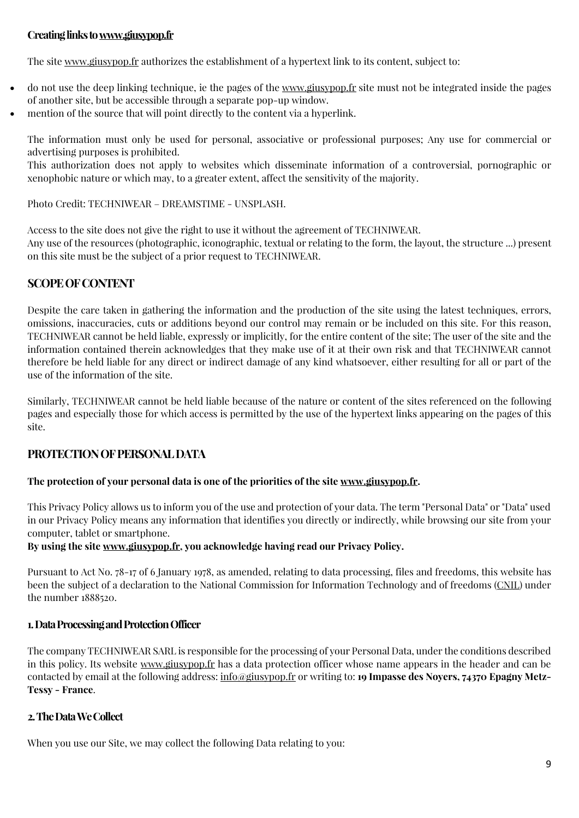### **Creatinglinkst[owww.giusypop.fr](https://www.giusypop.fr/en/)**

The site [www.giusypop.fr](https://www.giusypop.fr/en/) authorizes the establishment of a hypertext link to its content, subject to:

- do not use the deep linking technique, ie the pages of the [www.giusypop.fr](https://www.giusypop.fr/en/) site must not be integrated inside the pages of another site, but be accessible through a separate pop-up window.
- mention of the source that will point directly to the content via a hyperlink.

The information must only be used for personal, associative or professional purposes; Any use for commercial or advertising purposes is prohibited.

This authorization does not apply to websites which disseminate information of a controversial, pornographic or xenophobic nature or which may, to a greater extent, affect the sensitivity of the majority.

Photo Credit: TECHNIWEAR – DREAMSTIME - UNSPLASH.

Access to the site does not give the right to use it without the agreement of TECHNIWEAR. Any use of the resources (photographic, iconographic, textual or relating to the form, the layout, the structure ...) present on this site must be the subject of a prior request to TECHNIWEAR.

### **SCOPEOFCONTENT**

Despite the care taken in gathering the information and the production of the site using the latest techniques, errors, omissions, inaccuracies, cuts or additions beyond our control may remain or be included on this site. For this reason, TECHNIWEAR cannot be held liable, expressly or implicitly, for the entire content of the site; The user of the site and the information contained therein acknowledges that they make use of it at their own risk and that TECHNIWEAR cannot therefore be held liable for any direct or indirect damage of any kind whatsoever, either resulting for all or part of the use of the information of the site.

Similarly, TECHNIWEAR cannot be held liable because of the nature or content of the sites referenced on the following pages and especially those for which access is permitted by the use of the hypertext links appearing on the pages of this site.

#### **PROTECTIONOFPERSONALDATA**

#### **The protection of your personal data is one of the priorities of the site [www.giusypop.fr.](https://www.giusypop.fr/)**

This Privacy Policy allows us to inform you of the use and protection of your data. The term "Personal Data" or "Data" used in our Privacy Policy means any information that identifies you directly or indirectly, while browsing our site from your computer, tablet or smartphone.

#### **By using the site [www.giusypop.fr,](www.giusypop.fr) you acknowledge having read our Privacy Policy.**

Pursuant to Act No. 78-17 of 6 January 1978, as amended, relating to data processing, files and freedoms, this website has been the subject of a declaration to the National Commission for Information Technology and of freedoms [\(CNIL\)](https://www.cnil.fr/en/home) under the number 1888520.

#### **1.DataProcessingandProtectionOfficer**

The company TECHNIWEAR SARL is responsible for the processing of your Personal Data, under the conditions described in this policy. Its website<www.giusypop.fr> has a data protection officer whose name appears in the header and can be contacted by email at the following address: [info@giusypop.fr](mailto:info@giusypop.fr) or writing to: **19 Impasse des Noyers, 74370 Epagny Metz-Tessy - France**.

#### **2.TheDataWeCollect**

When you use our Site, we may collect the following Data relating to you: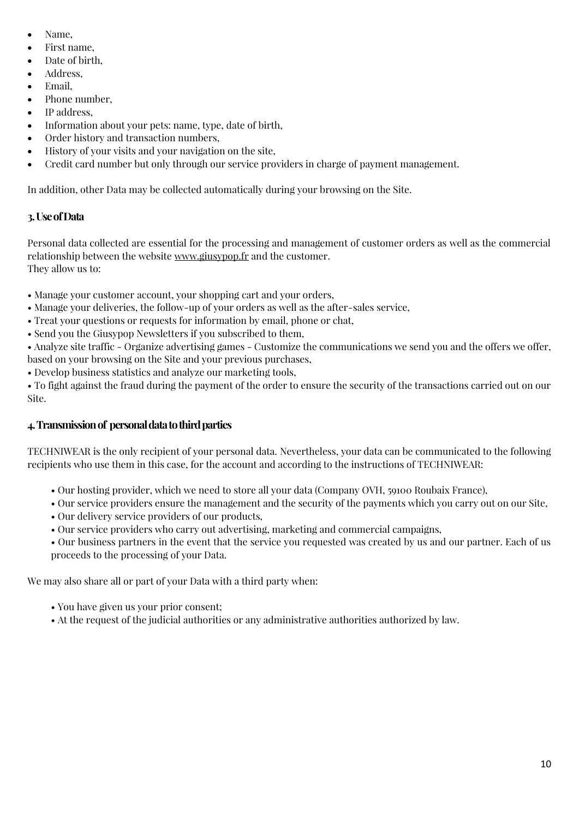- Name,
- First name,
- Date of birth.
- Address,
- Email,
- Phone number,
- IP address.
- Information about your pets: name, type, date of birth,
- Order history and transaction numbers,
- History of your visits and your navigation on the site,
- Credit card number but only through our service providers in charge of payment management.

In addition, other Data may be collected automatically during your browsing on the Site.

### **3.UseofData**

Personal data collected are essential for the processing and management of customer orders as well as the commercial relationship between the website<www.giusypop.fr> and the customer. They allow us to:

• Manage your customer account, your shopping cart and your orders,

- Manage your deliveries, the follow-up of your orders as well as the after-sales service,
- Treat your questions or requests for information by email, phone or chat,
- Send you the Giusypop Newsletters if you subscribed to them,

• Analyze site traffic - Organize advertising games - Customize the communications we send you and the offers we offer, based on your browsing on the Site and your previous purchases,

• Develop business statistics and analyze our marketing tools,

• To fight against the fraud during the payment of the order to ensure the security of the transactions carried out on our Site.

### **4.Transmissionof personaldatatothirdparties**

TECHNIWEAR is the only recipient of your personal data. Nevertheless, your data can be communicated to the following recipients who use them in this case, for the account and according to the instructions of TECHNIWEAR:

- Our hosting provider, which we need to store all your data (Company OVH, 59100 Roubaix France),
- Our service providers ensure the management and the security of the payments which you carry out on our Site,
- Our delivery service providers of our products,
- Our service providers who carry out advertising, marketing and commercial campaigns,

• Our business partners in the event that the service you requested was created by us and our partner. Each of us proceeds to the processing of your Data.

We may also share all or part of your Data with a third party when:

- You have given us your prior consent;
- At the request of the judicial authorities or any administrative authorities authorized by law.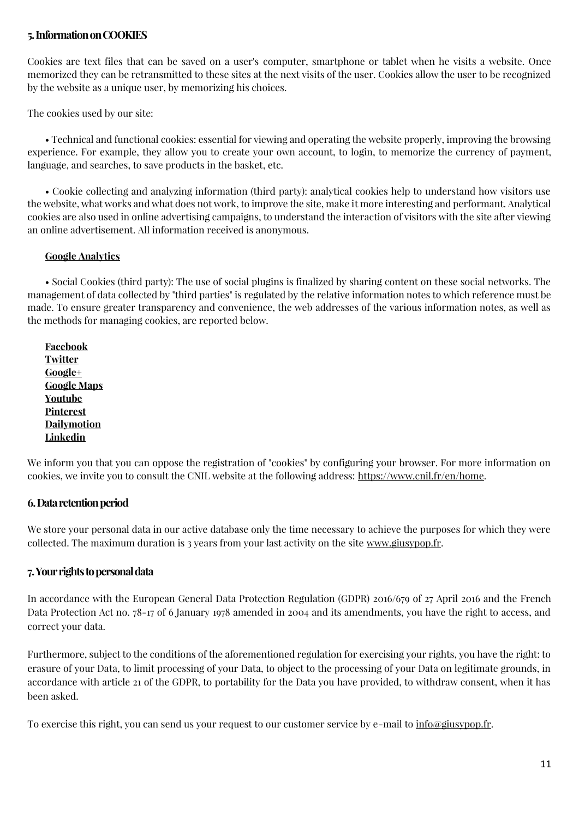#### **5.InformationonCOOKIES**

Cookies are text files that can be saved on a user's computer, smartphone or tablet when he visits a website. Once memorized they can be retransmitted to these sites at the next visits of the user. Cookies allow the user to be recognized by the website as a unique user, by memorizing his choices.

The cookies used by our site:

• Technical and functional cookies: essential for viewing and operating the website properly, improving the browsing experience. For example, they allow you to create your own account, to login, to memorize the currency of payment, language, and searches, to save products in the basket, etc.

• Cookie collecting and analyzing information (third party): analytical cookies help to understand how visitors use the website, what works and what does not work, to improve the site, make it more interesting and performant. Analytical cookies are also used in online advertising campaigns, to understand the interaction of visitors with the site after viewing an online advertisement. All information received is anonymous.

#### **[Google Analytics](https://policies.google.com/technologies/types?hl=en)**

• Social Cookies (third party): The use of social plugins is finalized by sharing content on these social networks. The management of data collected by "third parties" is regulated by the relative information notes to which reference must be made. To ensure greater transparency and convenience, the web addresses of the various information notes, as well as the methods for managing cookies, are reported below.

**[Facebook](https://en-en.facebook.com/help/cookies/) [Twitter](https://help.twitter.com/en/rules-and-policies/twitter-cookies) [Google+](https://policies.google.com/technologies/types?hl=en) [Google Maps](https://policies.google.com/technologies/types?hl=en) [Youtube](https://www.google.it/intl/en/policies/privacy/partners/) [Pinterest](https://policy.pinterest.com/en/cookies) [Dailymotion](https://www.dailymotion.com/legal/cookiemanagement) [Linkedin](https://www.linkedin.com/legal/cookie-policy?_l=en_en)**

We inform you that you can oppose the registration of "cookies" by configuring your browser. For more information on cookies, we invite you to consult the CNIL website at the following address: [https://www.cnil.fr/en/home.](https://www.cnil.fr/en/home)

#### **6.Dataretentionperiod**

We store your personal data in our active database only the time necessary to achieve the purposes for which they were collected. The maximum duration is  $\alpha$  years from your last activity on the site [www.giusypop.fr.](https://www.giusypop.fr/)

#### **7.Yourrightstopersonaldata**

In accordance with the European General Data Protection Regulation (GDPR) 2016/679 of 27 April 2016 and the French Data Protection Act no. 78-17 of 6 January 1978 amended in 2004 and its amendments, you have the right to access, and correct your data.

Furthermore, subject to the conditions of the aforementioned regulation for exercising your rights, you have the right: to erasure of your Data, to limit processing of your Data, to object to the processing of your Data on legitimate grounds, in accordance with article 21 of the GDPR, to portability for the Data you have provided, to withdraw consent, when it has been asked.

To exercise this right, you can send us your request to our customer service by e-mail to [info@giusypop.fr.](mailto:info@giusypop.fr)